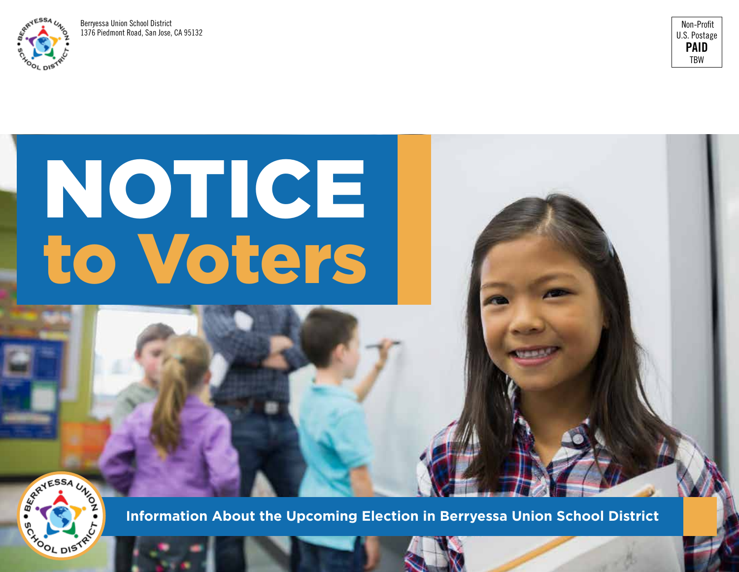

Berryessa Union School District 1376 Piedmont Road, San Jose, CA 95132



# NOTICE to Voters

REATESSA UN **BOX DISTRI** 

**Information About the Upcoming Election in Berryessa Union School District**